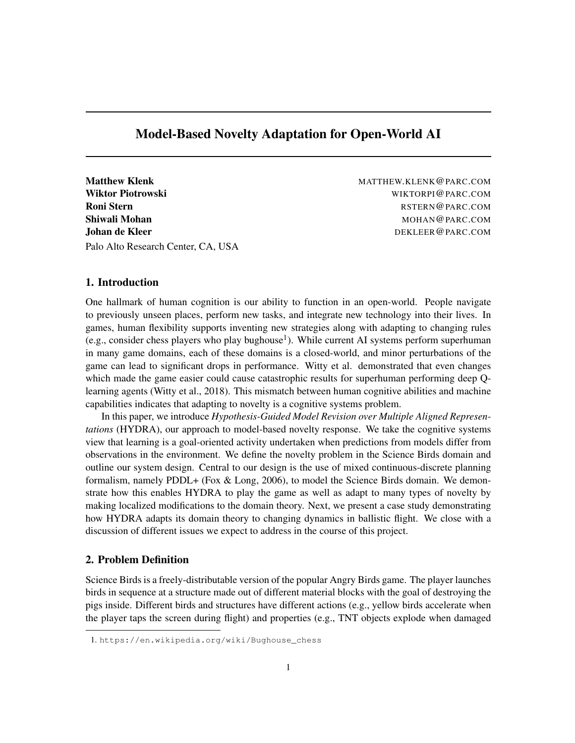## Model-Based Novelty Adaptation for Open-World AI

Matthew Klenk MATTHEW.KLENK @PARC.COM Wiktor Piotrowski WIKTORPI@PARC.COM **Roni Stern Roni Stern RSTERN @PARC.COM** Shiwali Mohan MOHANG PARC.COM Johan de Kleer **DEKLEER@PARC.COM** Palo Alto Research Center, CA, USA

#### 1. Introduction

One hallmark of human cognition is our ability to function in an open-world. People navigate to previously unseen places, perform new tasks, and integrate new technology into their lives. In games, human flexibility supports inventing new strategies along with adapting to changing rules (e.g., consider chess players who play bughouse<sup>1</sup>). While current AI systems perform superhuman in many game domains, each of these domains is a closed-world, and minor perturbations of the game can lead to significant drops in performance. Witty et al. demonstrated that even changes which made the game easier could cause catastrophic results for superhuman performing deep Qlearning agents (Witty et al., 2018). This mismatch between human cognitive abilities and machine capabilities indicates that adapting to novelty is a cognitive systems problem.

In this paper, we introduce *Hypothesis-Guided Model Revision over Multiple Aligned Representations* (HYDRA), our approach to model-based novelty response. We take the cognitive systems view that learning is a goal-oriented activity undertaken when predictions from models differ from observations in the environment. We define the novelty problem in the Science Birds domain and outline our system design. Central to our design is the use of mixed continuous-discrete planning formalism, namely PDDL+ (Fox & Long, 2006), to model the Science Birds domain. We demonstrate how this enables HYDRA to play the game as well as adapt to many types of novelty by making localized modifications to the domain theory. Next, we present a case study demonstrating how HYDRA adapts its domain theory to changing dynamics in ballistic flight. We close with a discussion of different issues we expect to address in the course of this project.

## 2. Problem Definition

Science Birds is a freely-distributable version of the popular Angry Birds game. The player launches birds in sequence at a structure made out of different material blocks with the goal of destroying the pigs inside. Different birds and structures have different actions (e.g., yellow birds accelerate when the player taps the screen during flight) and properties (e.g., TNT objects explode when damaged

<sup>1.</sup> https://en.wikipedia.org/wiki/Bughouse\_chess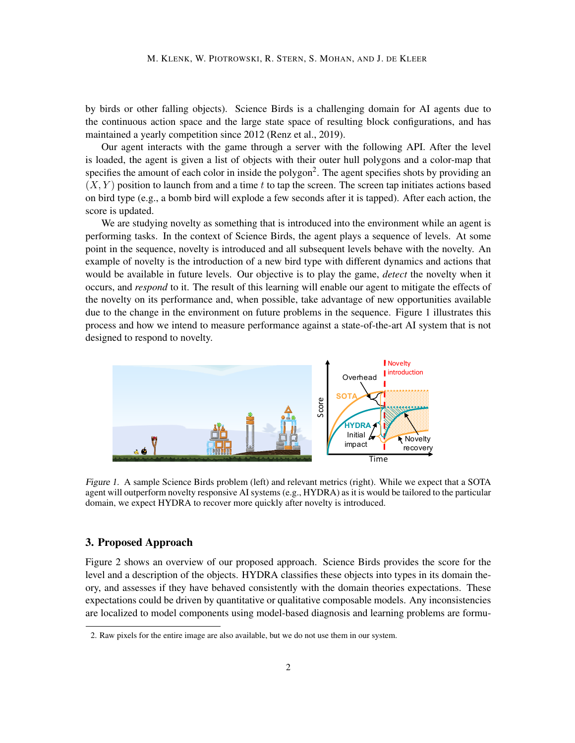by birds or other falling objects). Science Birds is a challenging domain for AI agents due to the continuous action space and the large state space of resulting block configurations, and has maintained a yearly competition since 2012 (Renz et al., 2019).

Our agent interacts with the game through a server with the following API. After the level is loaded, the agent is given a list of objects with their outer hull polygons and a color-map that specifies the amount of each color in inside the polygon<sup>2</sup>. The agent specifies shots by providing an  $(X, Y)$  position to launch from and a time t to tap the screen. The screen tap initiates actions based on bird type (e.g., a bomb bird will explode a few seconds after it is tapped). After each action, the score is updated.

We are studying novelty as something that is introduced into the environment while an agent is performing tasks. In the context of Science Birds, the agent plays a sequence of levels. At some point in the sequence, novelty is introduced and all subsequent levels behave with the novelty. An example of novelty is the introduction of a new bird type with different dynamics and actions that would be available in future levels. Our objective is to play the game, *detect* the novelty when it occurs, and *respond* to it. The result of this learning will enable our agent to mitigate the effects of the novelty on its performance and, when possible, take advantage of new opportunities available due to the change in the environment on future problems in the sequence. Figure 1 illustrates this process and how we intend to measure performance against a state-of-the-art AI system that is not designed to respond to novelty.



Figure 1. A sample Science Birds problem (left) and relevant metrics (right). While we expect that a SOTA agent will outperform novelty responsive AI systems (e.g., HYDRA) as it is would be tailored to the particular domain, we expect HYDRA to recover more quickly after novelty is introduced.

## 3. Proposed Approach

Figure 2 shows an overview of our proposed approach. Science Birds provides the score for the level and a description of the objects. HYDRA classifies these objects into types in its domain theory, and assesses if they have behaved consistently with the domain theories expectations. These expectations could be driven by quantitative or qualitative composable models. Any inconsistencies are localized to model components using model-based diagnosis and learning problems are formu-

<sup>2.</sup> Raw pixels for the entire image are also available, but we do not use them in our system.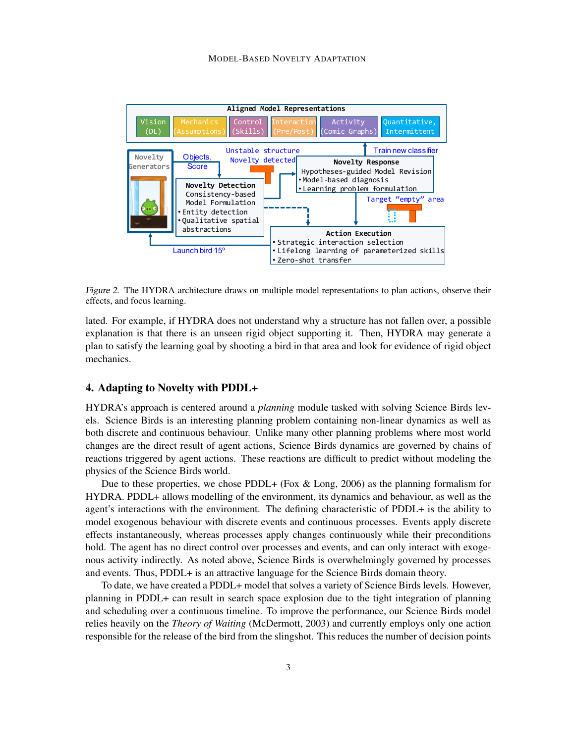

 $\alpha$  at follow even a massible Figure 2. The HYDRA architecture draws on multiple model representations to plan actions, observe their effects, and focus learning.

encels, and focus fearning.<br>lated. For example, if HYDRA does not understand why a structure has not fallen over, a possible n, HYDRA may generate a<br>
for evidence of rigid object explanation is that there is an unseen rigid object supporting it. Then, HYDRA may generate a plan to satisfy the learning goal by shooting a bird in that area and look for evidence of rigid object mechanics.

# 4. Adapting to Novelty with PDDL+

HYDRA's approach is centered around a *planning* module tasked with solving Science Birds levrandomly chosen pig using Science Birds lev-<br>-linear dynamics as well as problems where most world<br>s are governed by chains of redict without modeling the els. Science Birds is an interesting planning problem containing non-linear dynamics as well as both discrete and continuous behaviour. Unlike many other planning problems where most world changes are the direct result of agent actions, Science Birds dynamics are governed by chains of reactions triggered by agent actions. These reactions are difficult to predict without modeling the physics of the Science Birds world.

physics of<br>Due t<br>MYDPA hold. The agent has no direct control over processes and events, and can only interact with exogehous activity indirectly. As hotel above, selence Birds is overwhelmingly governed by<br>and events. Thus, PDDL+ is an attractive language for the Science Birds domain theory. the planning formalism for  $n$  the table for the total as the total based on the total based on the total based on the total based on the total based on the total based on the total based on the total based on the total b length of its trajectory. The interactions with the environment. The defining characteristic of PDDL+ is the ability to model executions with discrete events and continuous precesses. Further apply discrete  $\frac{1}{2}$  an only interact with exoge $f(x)$  fourthcases  $\frac{dy}{dx}$  is domain theory. Due to these properties, we chose PDDL+ (Fox  $\&$  Long, 2006) as the planning formalism for HYDRA. PDDL+ allows modelling of the environment, its dynamics and behaviour, as well as the model exogenous behaviour with discrete events and continuous processes. Events apply discrete effects instantaneously, whereas processes apply changes continuously while their preconditions nous activity indirectly. As noted above, Science Birds is overwhelmingly governed by processes

Fo date, we have created a FDDL+ model that solves a variety of science Brids levels. However, planning in PDDL+ can result in search space explosion due to the tight integration of planning and scheduling over a continuous timeline. To improve the performance, our science Birds induction-<br>relies heavily on the *Theory of Waiting* (McDermott, 2003) and currently employs only one action responsible for the release of the bird from the slingshot. This reduces the number of decision points reduces These can be described as the destruction of planning,  $\ddot{a}$ , dynamics, dynamics, dynamics, dynamics, dynamics, dynamics,  $\ddot{a}$ , dynamics, dynamics, dynamics, dynamics, dynamics, dynamics, dynamics, dynamics, dynami namite and round blocks strategies. The decision of which strategies. The decision of which which we determine strategy to use is a base in the entirely decision points To date, we have created a PDDL+ model that solves a variety of Science Birds levels. However, and scheduling over a continuous timeline. To improve the performance, our Science Birds model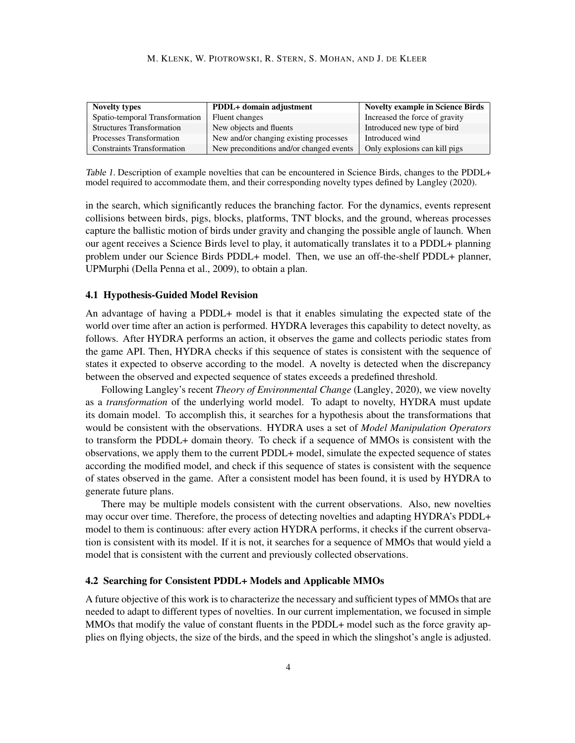| <b>Novelty types</b>              | PDDL+ domain adjustment                 | <b>Novelty example in Science Birds</b> |
|-----------------------------------|-----------------------------------------|-----------------------------------------|
| Spatio-temporal Transformation    | Fluent changes                          | Increased the force of gravity          |
| <b>Structures Transformation</b>  | New objects and fluents                 | Introduced new type of bird             |
| Processes Transformation          | New and/or changing existing processes  | Introduced wind                         |
| <b>Constraints Transformation</b> | New preconditions and/or changed events | Only explosions can kill pigs           |

Table 1. Description of example novelties that can be encountered in Science Birds, changes to the PDDL+ model required to accommodate them, and their corresponding novelty types defined by Langley (2020).

in the search, which significantly reduces the branching factor. For the dynamics, events represent collisions between birds, pigs, blocks, platforms, TNT blocks, and the ground, whereas processes capture the ballistic motion of birds under gravity and changing the possible angle of launch. When our agent receives a Science Birds level to play, it automatically translates it to a PDDL+ planning problem under our Science Birds PDDL+ model. Then, we use an off-the-shelf PDDL+ planner, UPMurphi (Della Penna et al., 2009), to obtain a plan.

#### 4.1 Hypothesis-Guided Model Revision

An advantage of having a PDDL+ model is that it enables simulating the expected state of the world over time after an action is performed. HYDRA leverages this capability to detect novelty, as follows. After HYDRA performs an action, it observes the game and collects periodic states from the game API. Then, HYDRA checks if this sequence of states is consistent with the sequence of states it expected to observe according to the model. A novelty is detected when the discrepancy between the observed and expected sequence of states exceeds a predefined threshold.

Following Langley's recent *Theory of Environmental Change* (Langley, 2020), we view novelty as a *transformation* of the underlying world model. To adapt to novelty, HYDRA must update its domain model. To accomplish this, it searches for a hypothesis about the transformations that would be consistent with the observations. HYDRA uses a set of *Model Manipulation Operators* to transform the PDDL+ domain theory. To check if a sequence of MMOs is consistent with the observations, we apply them to the current PDDL+ model, simulate the expected sequence of states according the modified model, and check if this sequence of states is consistent with the sequence of states observed in the game. After a consistent model has been found, it is used by HYDRA to generate future plans.

There may be multiple models consistent with the current observations. Also, new novelties may occur over time. Therefore, the process of detecting novelties and adapting HYDRA's PDDL+ model to them is continuous: after every action HYDRA performs, it checks if the current observation is consistent with its model. If it is not, it searches for a sequence of MMOs that would yield a model that is consistent with the current and previously collected observations.

#### 4.2 Searching for Consistent PDDL+ Models and Applicable MMOs

A future objective of this work is to characterize the necessary and sufficient types of MMOs that are needed to adapt to different types of novelties. In our current implementation, we focused in simple MMOs that modify the value of constant fluents in the PDDL+ model such as the force gravity applies on flying objects, the size of the birds, and the speed in which the slingshot's angle is adjusted.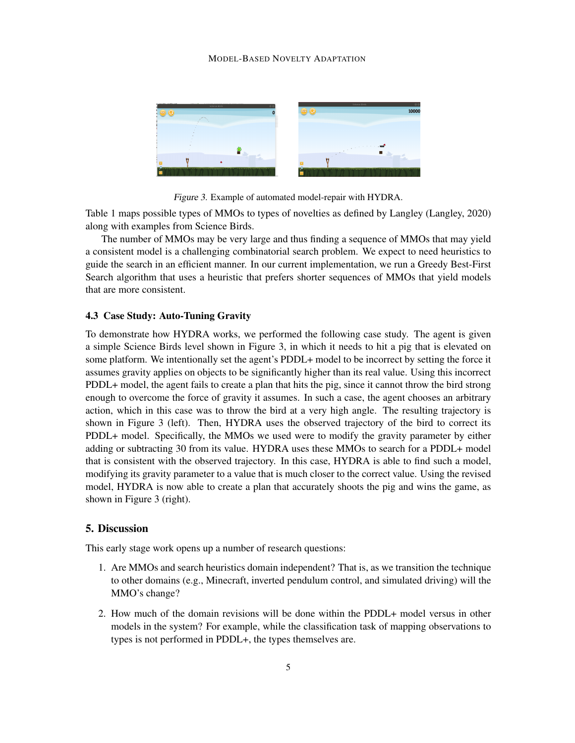#### MODEL-BASED NOVELTY ADAPTATION



Figure 3. Example of automated model-repair with HYDRA.

Table 1 maps possible types of MMOs to types of novelties as defined by Langley (Langley, 2020) along with examples from Science Birds.

The number of MMOs may be very large and thus finding a sequence of MMOs that may yield a consistent model is a challenging combinatorial search problem. We expect to need heuristics to guide the search in an efficient manner. In our current implementation, we run a Greedy Best-First Search algorithm that uses a heuristic that prefers shorter sequences of MMOs that yield models that are more consistent.

#### 4.3 Case Study: Auto-Tuning Gravity

To demonstrate how HYDRA works, we performed the following case study. The agent is given a simple Science Birds level shown in Figure 3, in which it needs to hit a pig that is elevated on some platform. We intentionally set the agent's PDDL+ model to be incorrect by setting the force it assumes gravity applies on objects to be significantly higher than its real value. Using this incorrect PDDL+ model, the agent fails to create a plan that hits the pig, since it cannot throw the bird strong enough to overcome the force of gravity it assumes. In such a case, the agent chooses an arbitrary action, which in this case was to throw the bird at a very high angle. The resulting trajectory is shown in Figure 3 (left). Then, HYDRA uses the observed trajectory of the bird to correct its PDDL+ model. Specifically, the MMOs we used were to modify the gravity parameter by either adding or subtracting 30 from its value. HYDRA uses these MMOs to search for a PDDL+ model that is consistent with the observed trajectory. In this case, HYDRA is able to find such a model, modifying its gravity parameter to a value that is much closer to the correct value. Using the revised model, HYDRA is now able to create a plan that accurately shoots the pig and wins the game, as shown in Figure 3 (right).

## 5. Discussion

This early stage work opens up a number of research questions:

- 1. Are MMOs and search heuristics domain independent? That is, as we transition the technique to other domains (e.g., Minecraft, inverted pendulum control, and simulated driving) will the MMO's change?
- 2. How much of the domain revisions will be done within the PDDL+ model versus in other models in the system? For example, while the classification task of mapping observations to types is not performed in PDDL+, the types themselves are.